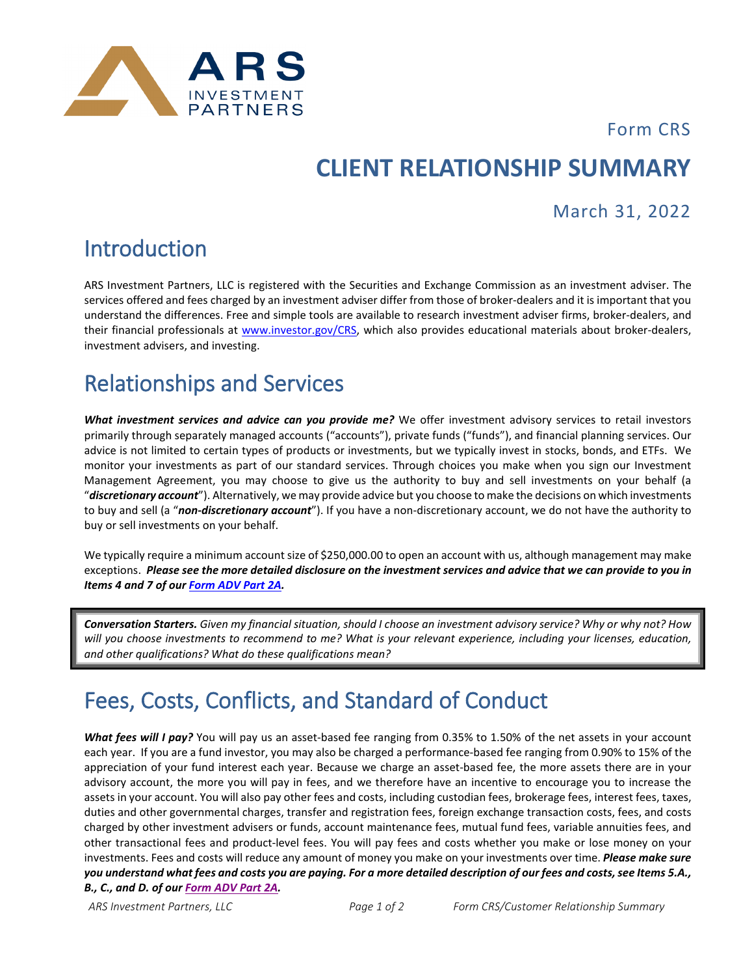

Form CRS

# **CLIENT RELATIONSHIP SUMMARY**

#### March 31, 2022

### Introduction

ARS Investment Partners, LLC is registered with the Securities and Exchange Commission as an investment adviser. The services offered and fees charged by an investment adviser differ from those of broker-dealers and it is important that you understand the differences. Free and simple tools are available to research investment adviser firms, broker-dealers, and their financial professionals at [www.investor.gov/CRS,](http://www.investor.gov/CRS) which also provides educational materials about broker-dealers, investment advisers, and investing.

#### Relationships and Services

*What investment services and advice can you provide me?* We offer investment advisory services to retail investors primarily through separately managed accounts ("accounts"), private funds ("funds"), and financial planning services. Our advice is not limited to certain types of products or investments, but we typically invest in stocks, bonds, and ETFs. We monitor your investments as part of our standard services. Through choices you make when you sign our Investment Management Agreement, you may choose to give us the authority to buy and sell investments on your behalf (a "*discretionary account*"). Alternatively, we may provide advice but you choose to make the decisions on which investments to buy and sell (a "*non-discretionary account*"). If you have a non-discretionary account, we do not have the authority to buy or sell investments on your behalf.

We typically require a minimum account size of \$250,000.00 to open an account with us, although management may make exceptions. *Please see the more detailed disclosure on the investment services and advice that we can provide to you in Items 4 and 7 of ou[r Form ADV Part 2A.](https://arsinvestmentpartners.com/disclosure-brochure/)*

*Conversation Starters. Given my financial situation, should I choose an investment advisory service? Why or why not? How will you choose investments to recommend to me? What is your relevant experience, including your licenses, education, and other qualifications? What do these qualifications mean?*

# Fees, Costs, Conflicts, and Standard of Conduct

*What fees will I pay?* You will pay us an asset-based fee ranging from 0.35% to 1.50% of the net assets in your account each year. If you are a fund investor, you may also be charged a performance-based fee ranging from 0.90% to 15% of the appreciation of your fund interest each year. Because we charge an asset-based fee, the more assets there are in your advisory account, the more you will pay in fees, and we therefore have an incentive to encourage you to increase the assets in your account. You will also pay other fees and costs, including custodian fees, brokerage fees, interest fees, taxes, duties and other governmental charges, transfer and registration fees, foreign exchange transaction costs, fees, and costs charged by other investment advisers or funds, account maintenance fees, mutual fund fees, variable annuities fees, and other transactional fees and product-level fees. You will pay fees and costs whether you make or lose money on your investments. Fees and costs will reduce any amount of money you make on your investments over time. *Please make sure you understand what fees and costs you are paying. For a more detailed description of our fees and costs, see Items 5.A., B., C., and D. of ou[r Form ADV Part 2A.](https://arsinvestmentpartners.com/disclosure-brochure/)*